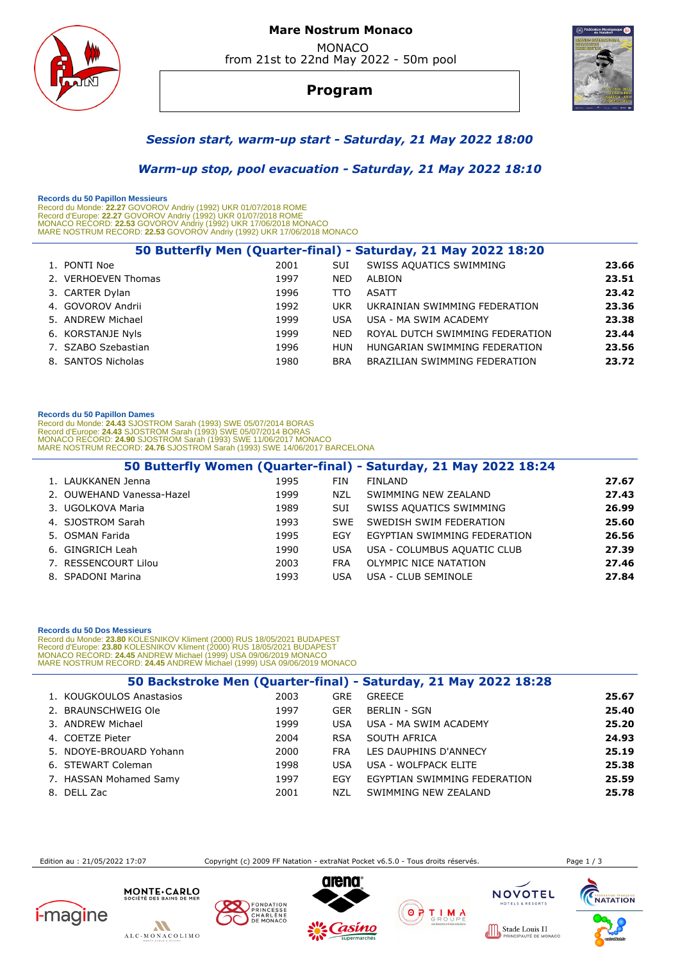

## **Mare Nostrum Monaco**  MONACO from 21st to 22nd May 2022 - 50m pool

# **Program**



## *Session start, warm-up start - Saturday, 21 May 2022 18:00*

## *Warm-up stop, pool evacuation - Saturday, 21 May 2022 18:10*

 **Records du 50 Papillon Messieurs** 

Record du Monde: **22.27** GOVOROV Andriy (1992) UKR 01/07/2018 ROME<br>Record d'Europe: **22.27 G**OVOROV Andriy (1992) UKR 01/07/2018 ROME<br>MONACO RECORD: **22.53** GOVOROV Andriy (1992) UKR 17/06/2018 MONACO<br>MARE NOSTRUM RECORD:

|                     |      |            | 50 Butterfly Men (Quarter-final) - Saturday, 21 May 2022 18:20 |       |
|---------------------|------|------------|----------------------------------------------------------------|-------|
| 1. PONTI Noe        | 2001 | <b>SUI</b> | SWISS AQUATICS SWIMMING                                        | 23.66 |
| 2. VERHOEVEN Thomas | 1997 | <b>NED</b> | ALBION                                                         | 23.51 |
| 3. CARTER Dylan     | 1996 | TTO        | <b>ASATT</b>                                                   | 23.42 |
| 4. GOVOROV Andrii   | 1992 | <b>UKR</b> | UKRAINIAN SWIMMING FEDERATION                                  | 23.36 |
| 5. ANDREW Michael   | 1999 | <b>USA</b> | USA - MA SWIM ACADEMY                                          | 23.38 |
| 6. KORSTANJE Nyls   | 1999 | <b>NED</b> | ROYAL DUTCH SWIMMING FEDERATION                                | 23.44 |
| 7. SZABO Szebastian | 1996 | <b>HUN</b> | HUNGARIAN SWIMMING FEDERATION                                  | 23.56 |
| 8. SANTOS Nicholas  | 1980 | <b>BRA</b> | BRAZILIAN SWIMMING FEDERATION                                  | 23.72 |
|                     |      |            |                                                                |       |

#### **Records du 50 Papillon Dames**

Record du Monde: 24.43 SJOSTROM Sarah (1993) SWE 05/07/2014 BORAS<br>Record d'Europe: 24.43 SJOSTROM Sarah (1993) SWE 05/07/2014 BORAS<br>MONACO RECORD: 24.90 SJOSTROM Sarah (1993) SWE 11/06/2017 MONACO<br>MARE NOSTRUM RECORD: 24.7

|                           |      |            | 50 Butterfly Women (Quarter-final) - Saturday, 21 May 2022 18:24 |       |
|---------------------------|------|------------|------------------------------------------------------------------|-------|
| 1. LAUKKANEN Jenna        | 1995 | <b>FIN</b> | <b>FINLAND</b>                                                   | 27.67 |
| 2. OUWEHAND Vanessa-Hazel | 1999 | NZL        | SWIMMING NEW ZEALAND                                             | 27.43 |
| 3. UGOLKOVA Maria         | 1989 | <b>SUI</b> | SWISS AQUATICS SWIMMING                                          | 26.99 |
| 4. SJOSTROM Sarah         | 1993 | <b>SWF</b> | SWEDISH SWIM FEDERATION                                          | 25.60 |
| 5. OSMAN Farida           | 1995 | <b>FGY</b> | EGYPTIAN SWIMMING FEDERATION                                     | 26.56 |
| 6. GINGRICH Leah          | 1990 | <b>USA</b> | USA - COLUMBUS AQUATIC CLUB                                      | 27.39 |
| 7. RESSENCOURT Lilou      | 2003 | <b>FRA</b> | OLYMPIC NICE NATATION                                            | 27.46 |
| 8. SPADONI Marina         | 1993 | <b>USA</b> | USA - CLUB SEMINOLE                                              | 27.84 |

## **Records du 50 Dos Messieurs**

Record du Monde: 23.80 KOLESNIKOV Kliment (2000) RUS 18/05/2021 BUDAPEST<br>Record d'Europe: 23.80 KOLESNIKOV Kliment (2000) RUS 18/05/2021 BUDAPEST<br>MONACO RECORD: 24.45 ANDREW Michael (1999) USA 09/06/2019 MONACO<br>MARE NOSTRU

|                          |      |            | 50 Backstroke Men (Quarter-final) - Saturday, 21 May 2022 18:28 |       |
|--------------------------|------|------------|-----------------------------------------------------------------|-------|
| 1. KOUGKOULOS Anastasios | 2003 | <b>GRE</b> | <b>GREECE</b>                                                   | 25.67 |
| 2. BRAUNSCHWEIG Ole      | 1997 | <b>GER</b> | <b>BERLIN - SGN</b>                                             | 25.40 |
| 3. ANDREW Michael        | 1999 | <b>USA</b> | USA - MA SWIM ACADEMY                                           | 25.20 |
| 4. COETZE Pieter         | 2004 | <b>RSA</b> | SOUTH AFRICA                                                    | 24.93 |
| 5. NDOYE-BROUARD Yohann  | 2000 | <b>FRA</b> | LES DAUPHINS D'ANNECY                                           | 25.19 |
| 6. STEWART Coleman       | 1998 | <b>USA</b> | USA - WOLFPACK ELITE                                            | 25.38 |
| 7. HASSAN Mohamed Samy   | 1997 | EGY        | EGYPTIAN SWIMMING FEDERATION                                    | 25.59 |
| 8. DELL Zac              | 2001 | NZL        | SWIMMING NEW ZEALAND                                            | 25.78 |

Edition au : 21/05/2022 17:07 Copyright (c) 2009 FF Natation - extraNat Pocket v6.5.0 - Tous droits réservés. Page 1 / 3

**NOVOTEL** 

 $0000$ 









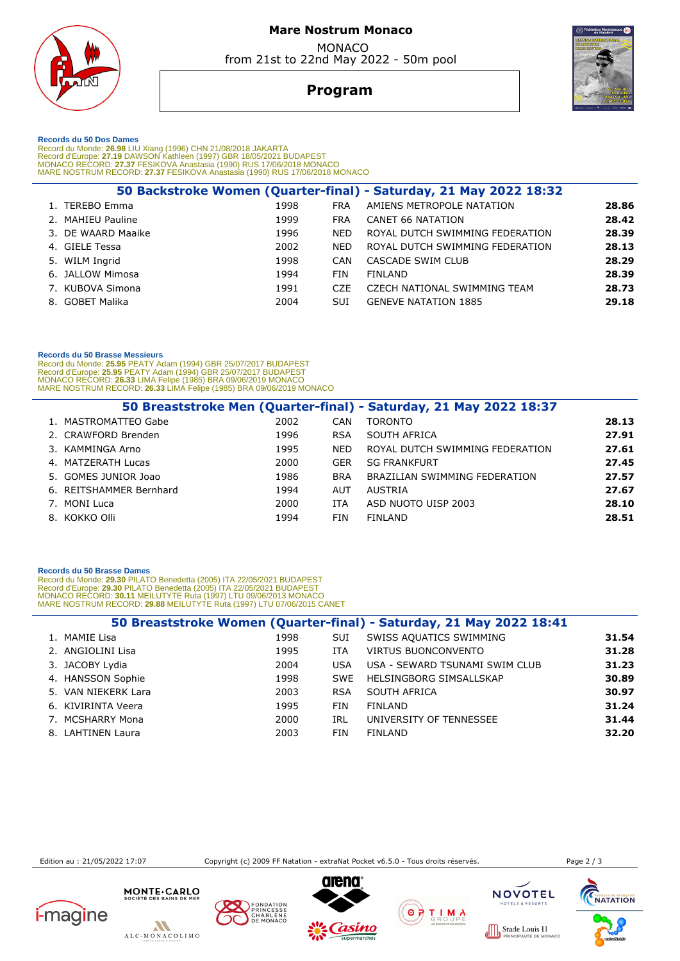

# **Mare Nostrum Monaco**  MONACO

from 21st to 22nd May 2022 - 50m pool

# **Program**

 **Records du 50 Dos Dames** 

Record du Monde: 26.98 LIU Xiang (1996) CHN 21/08/2018 JAKARTA<br>Record d'Europe: 27.19 DAWSON Kathleen (1997) GBR 18/05/2021 BUDAPEST<br>MONACO RECORD: 27.37 FESIKOVA Anastasia (1990) RUS 17/06/2018 MONACO<br>MARE NOSTRUM RECORD:

|                    |      |            | 50 Backstroke Women (Quarter-final) - Saturday, 21 May 2022 18:32 |       |
|--------------------|------|------------|-------------------------------------------------------------------|-------|
| 1. TEREBO Emma     | 1998 | <b>FRA</b> | AMIENS METROPOLE NATATION                                         | 28.86 |
| 2. MAHIEU Pauline  | 1999 | <b>FRA</b> | CANET 66 NATATION                                                 | 28.42 |
| 3. DE WAARD Maaike | 1996 | <b>NED</b> | ROYAL DUTCH SWIMMING FEDERATION                                   | 28.39 |
| 4. GIELE Tessa     | 2002 | <b>NED</b> | ROYAL DUTCH SWIMMING FEDERATION                                   | 28.13 |
| 5. WILM Ingrid     | 1998 | CAN        | CASCADE SWIM CLUB                                                 | 28.29 |
| 6. JALLOW Mimosa   | 1994 | <b>FIN</b> | FINLAND                                                           | 28.39 |
| 7. KUBOVA Simona   | 1991 | <b>CZE</b> | CZECH NATIONAL SWIMMING TEAM                                      | 28.73 |
| 8. GOBET Malika    | 2004 | <b>SUI</b> | <b>GENEVE NATATION 1885</b>                                       | 29.18 |
|                    |      |            |                                                                   |       |

## **Records du 50 Brasse Messieurs**

Record du Monde: **25.95** PEATY Adam (1994) GBR 25/07/2017 BUDAPEST<br>Record d'Europe: **25.95 PEATY Adam (1994) GBR 25/07/2017 BUDAPEST<br>MONACO RECORD: <b>26.33** LIMA Felipe (1985) BRA 09/06/2019 MONACO<br>MARE NOSTRUM RECORD: **26.** 

|                         |      |            | 50 Breaststroke Men (Quarter-final) - Saturday, 21 May 2022 18:37 |       |
|-------------------------|------|------------|-------------------------------------------------------------------|-------|
| 1. MASTROMATTEO Gabe    | 2002 | CAN        | <b>TORONTO</b>                                                    | 28.13 |
| 2. CRAWFORD Brenden     | 1996 | <b>RSA</b> | SOUTH AFRICA                                                      | 27.91 |
| 3. KAMMINGA Arno        | 1995 | <b>NED</b> | ROYAL DUTCH SWIMMING FEDERATION                                   | 27.61 |
| 4. MATZERATH Lucas      | 2000 | <b>GER</b> | <b>SG FRANKFURT</b>                                               | 27.45 |
| 5. GOMES JUNIOR Joao    | 1986 | <b>BRA</b> | BRAZILIAN SWIMMING FEDERATION                                     | 27.57 |
| 6. REITSHAMMER Bernhard | 1994 | <b>AUT</b> | AUSTRIA                                                           | 27.67 |
| 7. MONI Luca            | 2000 | ITA        | ASD NUOTO UISP 2003                                               | 28.10 |
| 8. KOKKO Olli           | 1994 | <b>FIN</b> | FINLAND                                                           | 28.51 |

## **Records du 50 Brasse Dames**

Record du Monde: **29.30** PILATO Benedetta (2005) ITA 22/05/2021 BUDAPEST<br>Record d'Europe: **29.30 PILATO Benedetta (2005) ITA 22/05/2021 BUDAPEST<br>MONACO RECORD: 30.11 MEILUTYTE Ruta (1997) LTU 09/06/2013 MONACO<br>MARE NOSTRUM** 

|                     |      |            | 50 Breaststroke Women (Quarter-final) - Saturday, 21 May 2022 18:41 |       |
|---------------------|------|------------|---------------------------------------------------------------------|-------|
| 1. MAMIE Lisa       | 1998 | SUI        | SWISS AQUATICS SWIMMING                                             | 31.54 |
| 2. ANGIOLINI Lisa   | 1995 | <b>ITA</b> | <b>VIRTUS BUONCONVENTO</b>                                          | 31.28 |
| 3. JACOBY Lydia     | 2004 | <b>USA</b> | USA - SEWARD TSUNAMI SWIM CLUB                                      | 31.23 |
| 4. HANSSON Sophie   | 1998 | <b>SWE</b> | HELSINGBORG SIMSALLSKAP                                             | 30.89 |
| 5. VAN NIEKERK Lara | 2003 | <b>RSA</b> | SOUTH AFRICA                                                        | 30.97 |
| 6. KIVIRINTA Veera  | 1995 | <b>FIN</b> | FINLAND                                                             | 31.24 |
| 7. MCSHARRY Mona    | 2000 | IRL        | UNIVERSITY OF TENNESSEE                                             | 31.44 |
| 8. LAHTINEN Laura   | 2003 | <b>FIN</b> | FINLAND                                                             | 32.20 |

Edition au : 21/05/2022 17:07 Copyright (c) 2009 FF Natation - extraNat Pocket v6.5.0 - Tous droits réservés. Page 2 / 3

UIS II<br>EDE MONACC